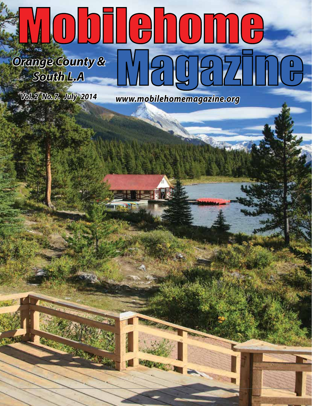# Mobilehome. *Orange County & South L.A*

*Vol. 2 No. 7. July 2014* 

*www.mobilehomemagazine.org*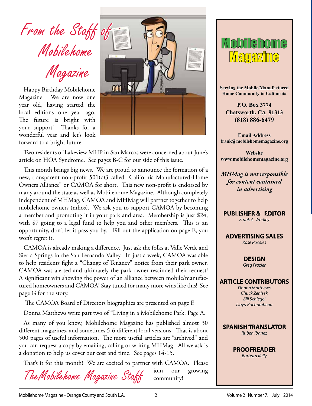From the Staff of Mobilehome

Magazine

Happy Birthday Mobilehome Magazine. We are now one year old, having started the local editions one year ago. The future is bright with your support! Thanks for a wonderful year and let's look forward to a bright future.



Two residents of Lakeview MHP in San Marcos were concerned about June's article on HOA Syndrome. See pages B-C for our side of this issue.

This month brings big news. We are proud to announce the formation of a new, transparent non-profit 501(c)3 called "California Manufactured-Home Owners Alliance" or CAMOA for short. This new non-profit is endorsed by many around the state as well as Mobilehome Magazine. Although completely independent of MHMag, CAMOA and MHMag will partner together to help mobilehome owners (mhos). We ask you to support CAMOA by becoming a member and promoting it in your park and area. Membership is just \$24, with \$7 going to a legal fund to help you and other members. This is an opportunity, don't let it pass you by. Fill out the application on page E, you won't regret it.

CAMOA is already making a difference. Just ask the folks at Valle Verde and Sierra Springs in the San Fernando Valley. In just a week, CAMOA was able to help residents fight a "Change of Tenancy" notice from their park owner. CAMOA was alerted and ultimately the park owner rescinded their request! A significant win showing the power of an alliance between mobile/manufactured homeowners and CAMOA! Stay tuned for many more wins like this! See page G for the story.

The CAMOA Board of Directors biographies are presented on page F.

Donna Matthews write part two of "Living in a Mobilehome Park. Page A.

As many of you know, Mobilehome Magazine has published almost 30 different magazines, and sometimes 5-6 different local versions. That is about 500 pages of useful information. The more useful articles are "archived" and you can request a copy by emailing, calling or writing MHMag. All we ask is a donation to help us cover our cost and time. See pages 14-15.

That's it for this month! We are excited to partner with CAMOA. Please

TheMobilehome Magazine Staff

**Magazine** 

**Serving the Mobile/Manufactured Home Community in California**

**P.O. Box 3774 Chatsworth, CA 91313 (818) 886-6479**

**Email Address frank@mobilehomemagazine.org**

**Website www.mobilehomemagazine.org**

*MHMag is not responsible for content contained in advertising*

**PUBLISHER & EDITOR**

*Frank A. Wodley*

**ADVERTISING SALES** *Rose Rosales*

> **DESIGN**  *Greg Frazier*

#### **ARTICLE CONTRIBUTORS**

*Donna Matthews Chuck Zenisek Bill Schlegel Lloyd Rochambeau*



**PROOFREADER** *Barbara Kelly*

join our growing

community!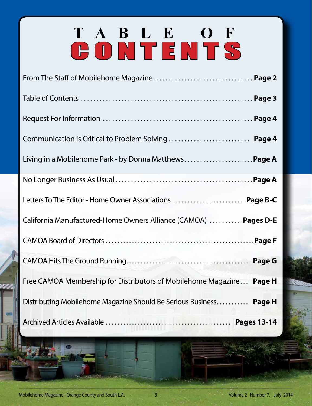# **TABLE OF** CONTENTS

| Communication is Critical to Problem Solving  Page 4                                                                                |        |
|-------------------------------------------------------------------------------------------------------------------------------------|--------|
| Living in a Mobilehome Park - by Donna Matthews Page A                                                                              |        |
|                                                                                                                                     |        |
| Letters To The Editor - Home Owner Associations  Page B-C                                                                           |        |
| California Manufactured-Home Owners Alliance (CAMOA)  Pages D-E                                                                     |        |
|                                                                                                                                     |        |
|                                                                                                                                     |        |
| Free CAMOA Membership for Distributors of Mobilehome Magazine<br>Distributing Mobilehome Magazine Should Be Serious Business Page H | Page H |
|                                                                                                                                     |        |
|                                                                                                                                     |        |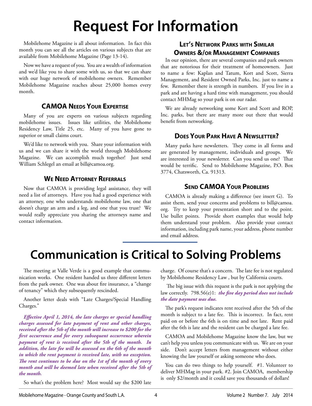### **Request For Information**

Mobilehome Magazine is all about information. In fact this month you can see all the articles on various subjects that are available from Mobilehome Magazine (Page 13-14).

Now we have a request of you. You are a wealth of information and we'd like you to share some with us, so that we can share with our huge network of mobilehome owners. Remember Mobilehome Magazine reaches about 25,000 homes every month.

#### **CAMOA Needs Your Expertise**

Many of you are experts on various subjects regarding mobilehome issues. Issues like utilities, the Mobilehome Residency Law, Title 25, etc. Many of you have gone to superior or small claims court.

We'd like to network with you. Share your information with us and we can share it with the world through Mobilehome Magazine. We can accomplish much together! Just send William Schlegel an email at bill@camoa.org.

#### **We Need Attorney Referrals**

Now that CAMOA is providing legal assistance, they will need a list of attorneys. Have you had a good experience with an attorney, one who understands mobilehome law, one that doesn't charge an arm and a leg, and one that you trust? We would really appreciate you sharing the attorneys name and contact information.

#### **Let's Network Parks with Similar Owners &/or Management Companies**

In our opinion, there are several companies and park owners that are notorious for their treatment of homeowners. Just to name a few: Kaplan and Tatum, Kort and Scott, Sierra Management, and Resident Owned Parks, Inc. just to name a few. Remember there is strength in numbers. If you live in a park and are having a hard time with management, you should contact MHMag so your park is on our radar.

We are already networking some Kort and Scott and ROP, Inc. parks, but there are many more out there that would benefit from networking.

#### **Does Your Park Have A Newsletter?**

Many parks have newsletters. They come in all forms and are generated by management, individuals and groups. We are interested in your newsletter. Can you send us one? That would be terrific. Send to Mobilehome Magazine, P.O. Box 3774, Chatsworth, Ca. 91313.

#### **Send CAMOA Your Problems**

CAMOA is already making a difference (see insert G). To assist them, send your concerns and problems to bill@camoa. org. Try to keep your presentation short and to the point. Use bullet points. Provide short examples that would help them understand your problem. Also provide your contact information, including park name, your address, phone number and email address.

### **Communication is Critical to Solving Problems**

The meeting at Valle Verde is a good example that communication works. One resident handed us three different letters from the park owner. One was about fire insurance, a "change of tenancy" which they subsequently rescinded.

Another letter deals with "Late Charges/Special Handling Charges."

*Effective April 1, 2014, the late charges or special handling charges assessed for late payment of rent and other charges, received after the 5th of the month will increase to \$200 for the first occurrence and for every subsequent occurrence wherein payment of rent is received after the 5th of the month. In addition, the late fee will be assessed on the 6th of the month in which the rent payment is received late, with no exception. The rent continues to be due on the 1st of the month of every month and will be deemed late when received after the 5th of the month.*

charge. Of course that's a concern. The late fee is not regulated by Mobilehome Residency Law , but by California courts.

 The big issue with this request is the park is not applying the law correctly. 798.56(e)1: *the five day period does not include the date payment was due.* 

The park's request indicates rent received after the 5th of the month is subject to a late fee. This is incorrect. In fact, rent paid on or before the 6th is on time and not late. Rent paid after the 6th is late and the resident can be charged a late fee.

CAMOA and Mobilehome Magazine know the law, but we can't help you unless you communicate with us. We are on your side. Don't accept letters from management without either knowing the law yourself or asking someone who does.

You can do two things to help yourself. #1. Volunteer to deliver MHMag in your park. #2. Join CAMOA, membership is only \$2/month and it could save you thousands of dollars!

So what's the problem here? Most would say the \$200 late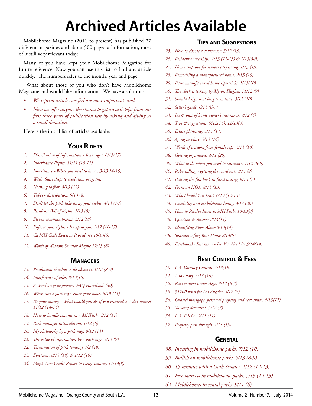## **Archived Articles Available**

Mobilehome Magazine (2011 to present) has published 27 different magazines and about 500 pages of information, most of it still very relevant today.

Many of you have kept your Mobilehome Magazine for future reference. Now you can use this list to find any article quickly. The numbers refer to the month, year and page.

 What about those of you who don't have Mobilehome Magazine and would like information? We have a solution:

- *• We reprint articles we feel are most important and*
- *• Now we offer anyone the chance to get an article(s) from our first three years of publication just by asking and giving us a small donation.*

Here is the initial list of articles available:

#### **Your Rights**

- *1. Distribution of information Your right. 6/13(17)*
- *2. Inheritance Rights. 11/11 (10-11)*
- *3. Inheritance What you need to know. 3/13 14-15)*
- *4. Wash. State dispute resolution program.*
- *5. Nothing to fear. 8/13 (12)*
- *6. Tubes distribution. 5/13 (8)*
- *7. Don't let the park take away your rights. 4/13 (10)*
- *8. Residents Bill of Rights. 1/13 (8)*
- *9. Eleven commandments. 3/12(18)*
- *10. Enforce your rights It's up to you. 1/12 (16-17)*
- *11. Ca MH Code Eviction Procedures 10/13(6)*
- *12. Words of Wisdom Senator Mayne 12/13 (8)*

#### **Managers**

- *13. Retaliation & what to do about it. 1/12 (8-9)*
- *14. Interference of sales. 8/13(15)*
- *15. A Word on your privacy. FAQ Handbook (30)*
- *16. When can a park mgr. enter your space. 8/13 (11)*
- *17. It's your money What would you do if you received a 7 day notice? 11/12 (14-15)*
- *18. How to handle tenants in a MHPark. 5/12 (11)*
- *19. Park manager intimidation. 1/12 (6)*
- *20. My philosophy by a park mgr. 9/12 (13)*
- *21. The value of information by a park mgr. 5/13 (9)*
- *22. Termination of park tenancy. 7/2 (18)*
- *23. Evictions. 8/13 (18) & 1/12 (10)*
- *24. Mngt. Uses Credit Report to Deny Tenancy 11/13(8)*

#### **Tips and Suggestions**

- *25. How to choose a contractor. 5/12 (19)*
- *26. Resident ownership. 1/13 (12-13) & 2/13(8-9)*
- *27. Home improve for seniors easy living. 1/13 (19)*
- *28. Remodeling a manufactured home. 2/13 (19)*
- *29. Basic manufactured home tips-tricks. 1/13(20)*
- *30. The clock is ticking by Myron Hughes. 11/12 (9)*
- *31. Should I sign that long term lease. 3/12 (10)*
- *32. Seller's guide. 6/13 (6-7)*
- *33. Ins & outs of home owner's insurance. 9/12 (5)*
- *34. Tips & suggestions. 9/12(15), 12/13(9)*
- *35. Estate planning. 3/13 (17)*
- *36. Aging in place. 3/13 (16)*
- *37. Words of wisdom from female reps. 3/13 (10)*
- *38. Getting organized. 9/11 (20)*
- *39. What to do when you need to refinance. 7/12 (8-9)*
- *40. Robo calling getting the word out. 8/13 (8)*
- *41. Putting the fun back in fund raising. 8/13 (7)*
- *42. Form an HOA. 8/13 (13)*
- *43. Who Should You Trust. 6/13 (12-13)*
- *44. Disability and mobilehome living. 3/13 (20)*
- *45. How to Resolve Issues in MH Parks 10/13(8)*
- *46. Question & Answer 2/14(11)*
- *47. Identifying Elder Abuse 2/14(14)*
- *48. Soundproofing Your Home 2/14(9)*
- *49. Earthquake Insurance Do You Need It? 5/14(14)*

#### **Rent Control & Fees**

- *50. L.A. Vacancy Control. 4/13(19)*
- *51. A tax story. 4/13 (16)*
- *52. Rent control under siege. 3/12 (6-7)*
- *53. \$1700 rents for Los Angeles. 3/12 (8)*
- *54. Chattel mortgage, personal property and real estate. 4/13(17)*
- *55. Vacancy decontrol. 5/12 (7)*
- *56. L.A. R.S.O. 9/11 (11)*
- *57. Property pass through. 4/13 (15)*

#### **General**

- *58. Investing in mobilehome parks. 7/12 (10)*
- *59. Bullish on mobilehome parks. 6/13 (8-9)*
- *60. 15 minutes with a Utah Senator. 1/12 (12-13)*
- *61. Free markets in mobilehome parks. 5/13 (12-13)*
- *62. Mobilehomes in rental parks. 9/11 (6)*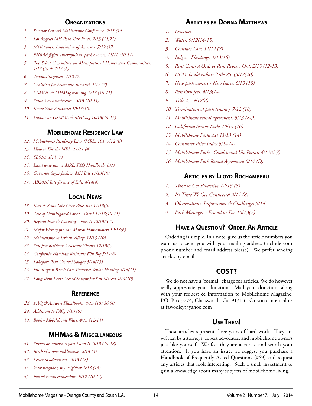#### **Organizations**

- *1. Senator Correa's Mobilehome Conference. 2/13 (14)*
- *2. Los Angeles MH Park Task Force. 2/13 (11,21)*
- *3. MHOwners Association of America. 7/12 (17)*
- *4. PHRAA fights unscrupulous park owners. 11/12 (10-11)*
- *5. The Select Committee on Manufactured Homes and Communities. 1/13 (5) & 2/13 (6)*
- *6. Tenants Together. 1/12 (7)*
- *7. Coalition for Economic Survival. 1/12 (7)*
- *8. GSMOL & MHMag teaming. 6/13 (10-11)*
- *9. Santa Cruz conference. 5/13 (10-11)*
- *10. Know Your Advocates 10/13(10)*
- *11. Update on GSMOL & MHMag 10/13(14-15)*

#### **Mobilehome Residency Law**

- *12. Mobilehome Residency Law (MRL) 101. 7/12 (6)*
- *13. How to Use the MRL. 11/11 (4)*
- *14. SB510. 4/13 (7)*
- *15. Land lease law vs MRL. FAQ Handbook. (31)*
- *16. Governor Signs Jackson MH Bill 11/13(15)*
- *17. AB2026 Interference of Sales 4/14(4)*

#### **Local News**

- *18. Kort & Scott Take Over Blue Star 11/13(5)*
- *19. Tale of Unmitigated Greed Part I 11/13(10-11)*
- *20. Beyond Fear & Loathing Part II 12/13(6-7)*
- *21. Major Victory for San Marcos Homeowners 12/13(6)*
- *22. Mobilehome vs Urban Village 12/13 (10)*
- *23. San Jose Residents Celebrate Victory 12/13(5)*
- *24. California Hawiian Residents Win Big 5/14(E)*
- *25. Lakeport Rent Control Sought 5/14(13)*
- *26. Huntington Beach Law Preserves Senior Housing 4/14(13)*
- *27. Long Term Lease Accord Sought for San Marcos 4/14(10)*

#### **Reference**

- *28. FAQ & Answers Handbook. 8/13 (18) \$6.00*
- *29. Additions to FAQ. 1/13 (9)*
- *30. Book Mobilehome Wars. 4/13 (12-13)*

#### **MHMag & Miscellaneous**

- *31. Survey on advocacy part I and II. 5/13 (14-18)*
- *32. Birth of a new publication. 8/13 (5)*
- *33. Letter to advertisers. 6/13 (18)*
- *34. Your neighbor, my neighbor. 6/13 (14)*
- *35. Forced condo conversions. 9/12 (10-12)*

#### **Articles by Donna Matthews**

- *1. Eviction.*
- *2. Water. 9/12(14-15)*
- *3. Contract Law. 11/12 (7)*
- *4. Judges Pleadings. 1/13(16)*
- *5. Rent Control Ord. vs Rent Review Ord. 2/13 (12-13)*
- *6. HCD should enforce Title 25. (5/12(20)*
- *7. New park owners New leases. 6/13 (19)*
- *8. Pass thru fees. 4/13(14)*
- *9. Title 25. 9/12(8)*
- *10. Termination of park tenancy. 7/12 (18)*
- *11. Mobilehome rental agreement. 3/13 (8-9)*
- *12. California Senior Parks 10/13 (16)*
- *13. Mobilehome Parks Act 11/13 (14)*
- *14. Consumer Price Index 3/14 (4)*
- *15. Mobilehome Parks- Conditional Use Permit 4/14(6-7)*
- *16. Mobilehome Park Rental Agreement 5/14 (D)*

#### **Articles by Lloyd Rochambeau**

- *1. Time to Get Proactive 12/13 (8)*
- *2. It's Time We Get Connected 2/14 (8)*
- *3. Observations, Impressions & Challenges 5/14*
- *4. Park Manager Friend or Foe 10/13(7)*

#### **Have a Question? Order An Article**

Ordering is simple. In a note, give us the article numbers you want us to send you with your mailing address (include your phone number and email address please). We prefer sending articles by email.

#### **COST?**

We do not have a "formal" charge for articles. We do however really appreciate your donation. Mail your donation, along with your request & information to Mobilehome Magazine, P.O. Box 3774, Chatsworth, Ca. 91313. Or you can email us at fawodley@yahoo.com

#### **Use Them!**

These articles represent three years of hard work. They are written by attorneys, expert advocates, and mobilehome owners just like yourself. We feel they are accurate and worth your attention. If you have an issue, we suggest you purchase a Handbook of Frequently Asked Questions (#69) and request any articles that look interesting. Such a small investment to gain a knowledge about many subjects of mobilehome living.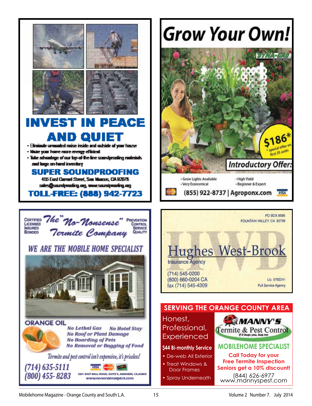

#### INVEST IN PEACE QUI D.

raded naise inside and cubside of your house. . En

- sie voor home mans energy-efficient
- Take advantage of our top of the fine sum durusting nutreints. and large on-hand inventory.

#### SUPER SOUNDPROOFING

455 East Carred Street, See Mausus, CA 82078 sin@ardpairy.og.wesardpairy.og

**TOLL-FREE: (888) 942-7723** 





**ORANGE OIL** No Lethal Gas **No Hotel Stay No Roof or Plant Damage No Boarding of Pets No Removal or Bagging of Food** Termite and pest control isn't expensive, it's priceless!  $(714)$  635-5111



# **Grow Your Own!**





Honest, **MANNY'S** Professional, Termite & Pest Control Experienced **MOBilehOMe SpeCialiSt \$44 Bi-monthly Service Call today for your** • De-web All Exterior **Free termite inspection**

• Treat Windows & Door Frames (844) 626-6977 www.mannyspest.com **Seniors get a 10% discount!**

• Spray Underneath

Mobilehome Magazine - Orange County and South L.A. 15 15 Volume 2 Number 7. July 2014